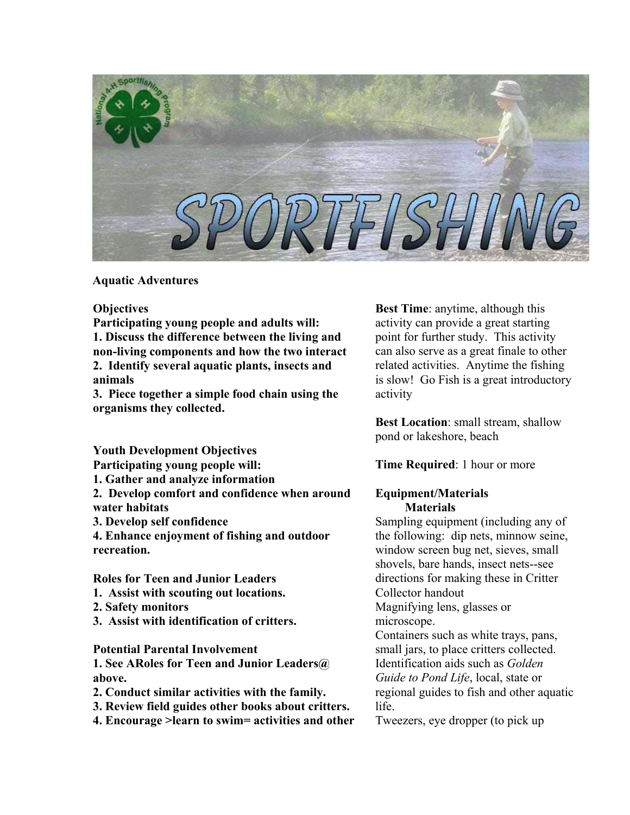

**Aquatic Adventures** 

**Objectives** 

**Participating young people and adults will: 1. Discuss the difference between the living and non-living components and how the two interact 2. Identify several aquatic plants, insects and animals** 

**3. Piece together a simple food chain using the organisms they collected.** 

**Youth Development Objectives** 

**Participating young people will:** 

**1. Gather and analyze information** 

**2. Develop comfort and confidence when around water habitats** 

**3. Develop self confidence** 

**4. Enhance enjoyment of fishing and outdoor recreation.**

**Roles for Teen and Junior Leaders** 

- **1. Assist with scouting out locations.**
- **2. Safety monitors**
- **3. Assist with identification of critters.**

**Potential Parental Involvement** 

**1. See ARoles for Teen and Junior Leaders@ above.** 

- **2. Conduct similar activities with the family.**
- **3. Review field guides other books about critters.**

**4. Encourage >learn to swim= activities and other** 

**Best Time**: anytime, although this activity can provide a great starting point for further study. This activity can also serve as a great finale to other related activities. Anytime the fishing is slow! Go Fish is a great introductory activity

**Best Location**: small stream, shallow pond or lakeshore, beach

**Time Required**: 1 hour or more

### **Equipment/Materials Materials**

Sampling equipment (including any of the following: dip nets, minnow seine, window screen bug net, sieves, small shovels, bare hands, insect nets--see directions for making these in Critter Collector handout

Magnifying lens, glasses or microscope.

Containers such as white trays, pans, small jars, to place critters collected. Identification aids such as *Golden Guide to Pond Life*, local, state or regional guides to fish and other aquatic life.

Tweezers, eye dropper (to pick up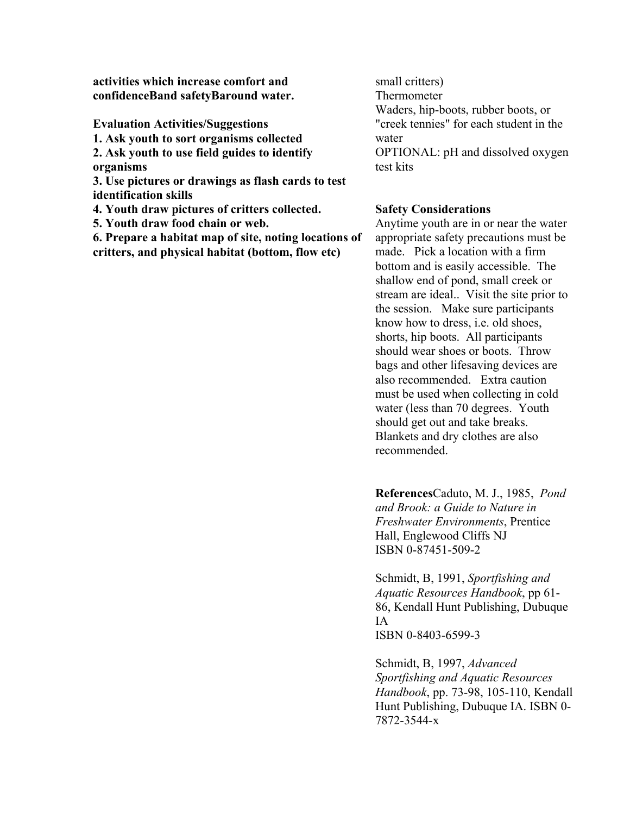**activities which increase comfort and confidenceBand safetyBaround water.** 

**Evaluation Activities/Suggestions** 

**1. Ask youth to sort organisms collected** 

**2. Ask youth to use field guides to identify organisms** 

**3. Use pictures or drawings as flash cards to test identification skills** 

**4. Youth draw pictures of critters collected.** 

**5. Youth draw food chain or web.** 

**6. Prepare a habitat map of site, noting locations of critters, and physical habitat (bottom, flow etc)** 

small critters) Thermometer Waders, hip-boots, rubber boots, or "creek tennies" for each student in the water OPTIONAL: pH and dissolved oxygen test kits

#### **Safety Considerations**

Anytime youth are in or near the water appropriate safety precautions must be made. Pick a location with a firm bottom and is easily accessible. The shallow end of pond, small creek or stream are ideal.. Visit the site prior to the session. Make sure participants know how to dress, i.e. old shoes, shorts, hip boots. All participants should wear shoes or boots. Throw bags and other lifesaving devices are also recommended. Extra caution must be used when collecting in cold water (less than 70 degrees. Youth should get out and take breaks. Blankets and dry clothes are also recommended.

**References**Caduto, M. J., 1985, *Pond and Brook: a Guide to Nature in Freshwater Environments*, Prentice Hall, Englewood Cliffs NJ ISBN 0-87451-509-2

Schmidt, B, 1991, *Sportfishing and Aquatic Resources Handbook*, pp 61- 86, Kendall Hunt Publishing, Dubuque IA ISBN 0-8403-6599-3

Schmidt, B, 1997, *Advanced Sportfishing and Aquatic Resources Handbook*, pp. 73-98, 105-110, Kendall Hunt Publishing, Dubuque IA. ISBN 0- 7872-3544-x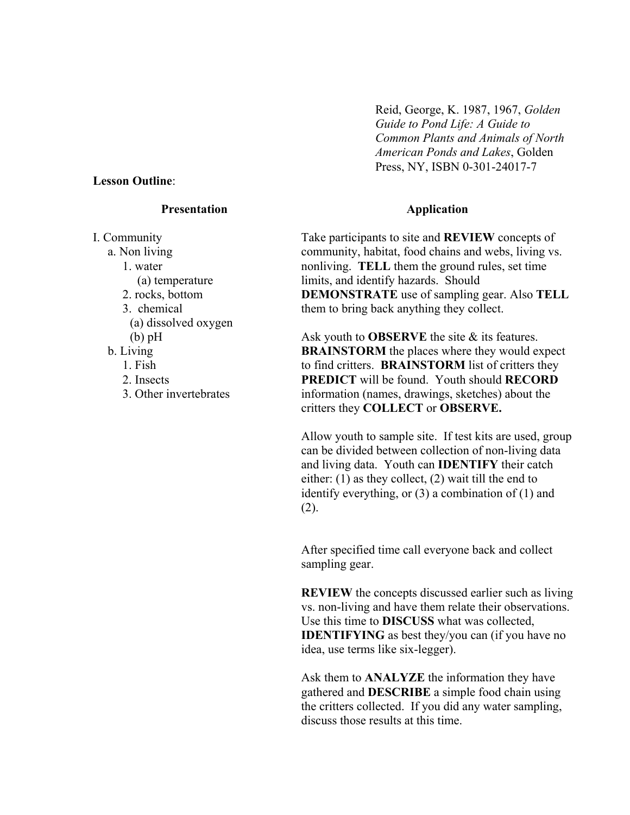#### **Lesson Outline**:

#### **Presentation**

I. Community a. Non living 1. water (a) temperature 2. rocks, bottom 3. chemical (a) dissolved oxygen (b) pH b. Living 1. Fish 2. Insects 3. Other invertebrates

Reid, George, K. 1987, 1967, *Golden Guide to Pond Life: A Guide to Common Plants and Animals of North American Ponds and Lakes*, Golden Press, NY, ISBN 0-301-24017-7

#### **Application**

Take participants to site and **REVIEW** concepts of community, habitat, food chains and webs, living vs. nonliving. **TELL** them the ground rules, set time limits, and identify hazards. Should **DEMONSTRATE** use of sampling gear. Also **TELL** them to bring back anything they collect.

Ask youth to **OBSERVE** the site & its features. **BRAINSTORM** the places where they would expect to find critters. **BRAINSTORM** list of critters they **PREDICT** will be found. Youth should **RECORD** information (names, drawings, sketches) about the critters they **COLLECT** or **OBSERVE.**

Allow youth to sample site. If test kits are used, group can be divided between collection of non-living data and living data. Youth can **IDENTIFY** their catch either: (1) as they collect, (2) wait till the end to identify everything, or (3) a combination of (1) and (2).

After specified time call everyone back and collect sampling gear.

**REVIEW** the concepts discussed earlier such as living vs. non-living and have them relate their observations. Use this time to **DISCUSS** what was collected, **IDENTIFYING** as best they/you can (if you have no idea, use terms like six-legger).

Ask them to **ANALYZE** the information they have gathered and **DESCRIBE** a simple food chain using the critters collected. If you did any water sampling, discuss those results at this time.